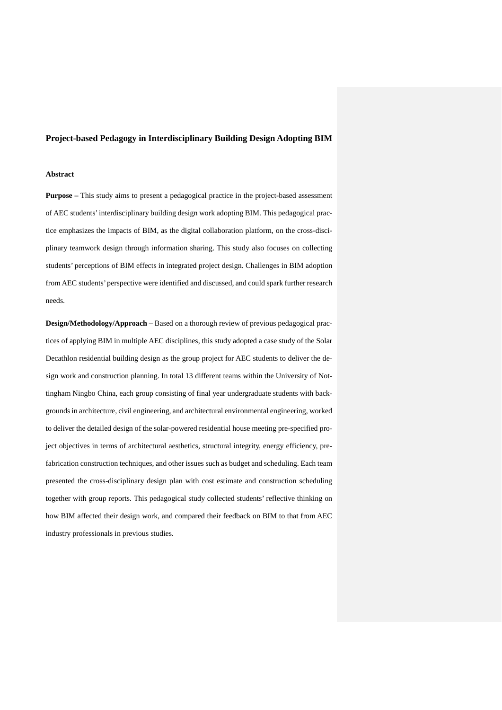# **Project-based Pedagogy in Interdisciplinary Building Design Adopting BIM**

#### **Abstract**

**Purpose –** This study aims to present a pedagogical practice in the project-based assessment of AEC students' interdisciplinary building design work adopting BIM. This pedagogical practice emphasizes the impacts of BIM, as the digital collaboration platform, on the cross-disciplinary teamwork design through information sharing. This study also focuses on collecting students' perceptions of BIM effects in integrated project design. Challenges in BIM adoption from AEC students' perspective were identified and discussed, and could spark further research needs.

**Design/Methodology/Approach –** Based on a thorough review of previous pedagogical practices of applying BIM in multiple AEC disciplines, this study adopted a case study of the Solar Decathlon residential building design as the group project for AEC students to deliver the design work and construction planning. In total 13 different teams within the University of Nottingham Ningbo China, each group consisting of final year undergraduate students with backgrounds in architecture, civil engineering, and architectural environmental engineering, worked to deliver the detailed design of the solar-powered residential house meeting pre-specified project objectives in terms of architectural aesthetics, structural integrity, energy efficiency, prefabrication construction techniques, and other issues such as budget and scheduling. Each team presented the cross-disciplinary design plan with cost estimate and construction scheduling together with group reports. This pedagogical study collected students' reflective thinking on how BIM affected their design work, and compared their feedback on BIM to that from AEC industry professionals in previous studies.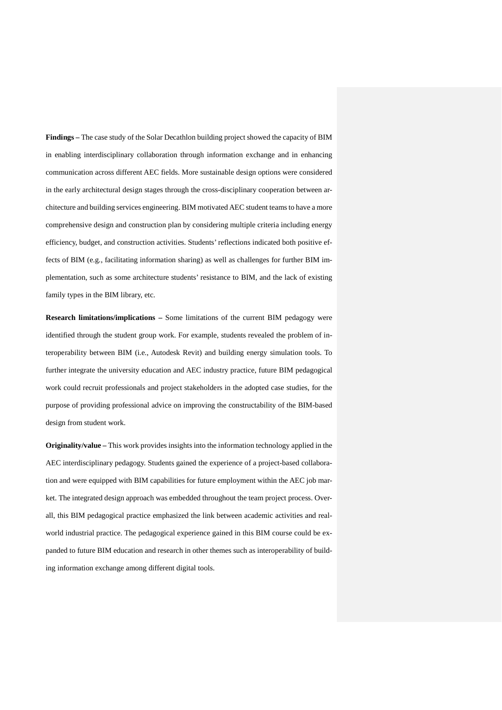**Findings –** The case study of the Solar Decathlon building project showed the capacity of BIM in enabling interdisciplinary collaboration through information exchange and in enhancing communication across different AEC fields. More sustainable design options were considered in the early architectural design stages through the cross-disciplinary cooperation between architecture and building services engineering. BIM motivated AEC student teamsto have a more comprehensive design and construction plan by considering multiple criteria including energy efficiency, budget, and construction activities. Students' reflections indicated both positive effects of BIM (e.g., facilitating information sharing) as well as challenges for further BIM implementation, such as some architecture students' resistance to BIM, and the lack of existing family types in the BIM library, etc.

**Research limitations/implications –** Some limitations of the current BIM pedagogy were identified through the student group work. For example, students revealed the problem of interoperability between BIM (i.e., Autodesk Revit) and building energy simulation tools. To further integrate the university education and AEC industry practice, future BIM pedagogical work could recruit professionals and project stakeholders in the adopted case studies, for the purpose of providing professional advice on improving the constructability of the BIM-based design from student work.

**Originality/value –** This work provides insights into the information technology applied in the AEC interdisciplinary pedagogy. Students gained the experience of a project-based collaboration and were equipped with BIM capabilities for future employment within the AEC job market. The integrated design approach was embedded throughout the team project process. Overall, this BIM pedagogical practice emphasized the link between academic activities and realworld industrial practice. The pedagogical experience gained in this BIM course could be expanded to future BIM education and research in other themes such as interoperability of building information exchange among different digital tools.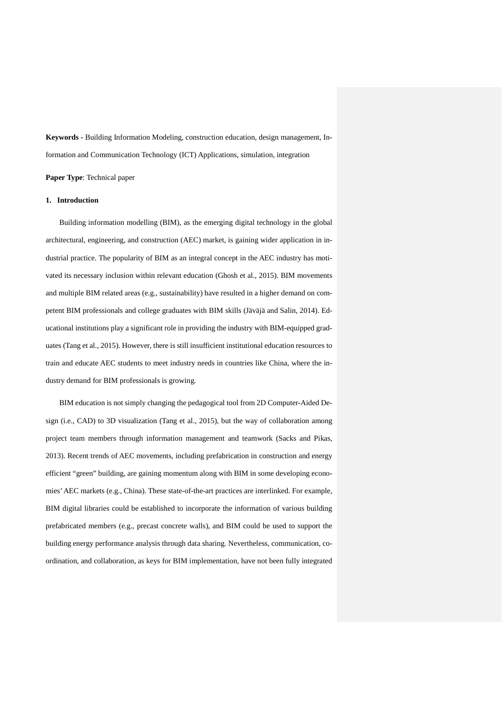**Keywords -** Building Information Modeling, construction education, design management, Information and Communication Technology (ICT) Applications, simulation, integration

**Paper Type**: Technical paper

# **1. Introduction**

Building information modelling (BIM), as the emerging digital technology in the global architectural, engineering, and construction (AEC) market, is gaining wider application in industrial practice. The popularity of BIM as an integral concept in the AEC industry has motivated its necessary inclusion within relevant education (Ghosh et al., 2015). BIM movements and multiple BIM related areas (e.g., sustainability) have resulted in a higher demand on competent BIM professionals and college graduates with BIM skills (Jäväjä and Salin, 2014). Educational institutions play a significant role in providing the industry with BIM-equipped graduates (Tang et al., 2015). However, there is still insufficient institutional education resources to train and educate AEC students to meet industry needs in countries like China, where the industry demand for BIM professionals is growing.

BIM education is not simply changing the pedagogical tool from 2D Computer-Aided Design (i.e., CAD) to 3D visualization (Tang et al., 2015), but the way of collaboration among project team members through information management and teamwork (Sacks and Pikas, 2013). Recent trends of AEC movements, including prefabrication in construction and energy efficient "green" building, are gaining momentum along with BIM in some developing economies' AEC markets (e.g., China). These state-of-the-art practices are interlinked. For example, BIM digital libraries could be established to incorporate the information of various building prefabricated members (e.g., precast concrete walls), and BIM could be used to support the building energy performance analysis through data sharing. Nevertheless, communication, coordination, and collaboration, as keys for BIM implementation, have not been fully integrated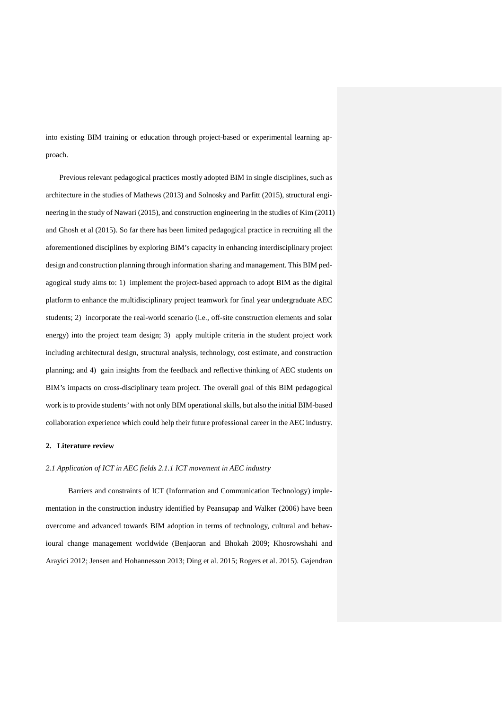into existing BIM training or education through project-based or experimental learning approach.

Previous relevant pedagogical practices mostly adopted BIM in single disciplines, such as architecture in the studies of Mathews (2013) and Solnosky and Parfitt (2015), structural engineering in the study of Nawari (2015), and construction engineering in the studies of Kim (2011) and Ghosh et al (2015). So far there has been limited pedagogical practice in recruiting all the aforementioned disciplines by exploring BIM's capacity in enhancing interdisciplinary project design and construction planning through information sharing and management. This BIM pedagogical study aims to: 1) implement the project-based approach to adopt BIM as the digital platform to enhance the multidisciplinary project teamwork for final year undergraduate AEC students; 2) incorporate the real-world scenario (i.e., off-site construction elements and solar energy) into the project team design; 3) apply multiple criteria in the student project work including architectural design, structural analysis, technology, cost estimate, and construction planning; and 4) gain insights from the feedback and reflective thinking of AEC students on BIM's impacts on cross-disciplinary team project. The overall goal of this BIM pedagogical work is to provide students' with not only BIM operational skills, but also the initial BIM-based collaboration experience which could help their future professional career in the AEC industry.

# **2. Literature review**

### *2.1 Application of ICT in AEC fields 2.1.1 ICT movement in AEC industry*

Barriers and constraints of ICT (Information and Communication Technology) implementation in the construction industry identified by Peansupap and Walker (2006) have been overcome and advanced towards BIM adoption in terms of technology, cultural and behavioural change management worldwide (Benjaoran and Bhokah 2009; Khosrowshahi and Arayici 2012; Jensen and Hohannesson 2013; Ding et al. 2015; Rogers et al. 2015). Gajendran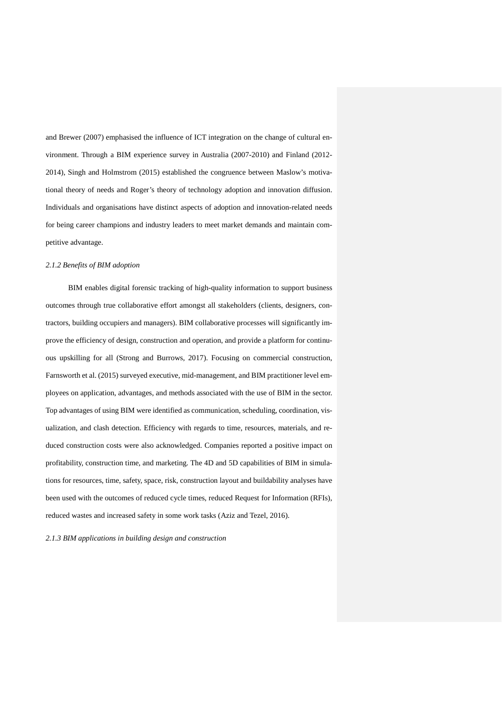and Brewer (2007) emphasised the influence of ICT integration on the change of cultural environment. Through a BIM experience survey in Australia (2007-2010) and Finland (2012- 2014), Singh and Holmstrom (2015) established the congruence between Maslow's motivational theory of needs and Roger's theory of technology adoption and innovation diffusion. Individuals and organisations have distinct aspects of adoption and innovation-related needs for being career champions and industry leaders to meet market demands and maintain competitive advantage.

### *2.1.2 Benefits of BIM adoption*

BIM enables digital forensic tracking of high-quality information to support business outcomes through true collaborative effort amongst all stakeholders (clients, designers, contractors, building occupiers and managers). BIM collaborative processes will significantly improve the efficiency of design, construction and operation, and provide a platform for continuous upskilling for all (Strong and Burrows, 2017). Focusing on commercial construction, Farnsworth et al. (2015) surveyed executive, mid-management, and BIM practitioner level employees on application, advantages, and methods associated with the use of BIM in the sector. Top advantages of using BIM were identified as communication, scheduling, coordination, visualization, and clash detection. Efficiency with regards to time, resources, materials, and reduced construction costs were also acknowledged. Companies reported a positive impact on profitability, construction time, and marketing. The 4D and 5D capabilities of BIM in simulations for resources, time, safety, space, risk, construction layout and buildability analyses have been used with the outcomes of reduced cycle times, reduced Request for Information (RFIs), reduced wastes and increased safety in some work tasks (Aziz and Tezel, 2016).

*2.1.3 BIM applications in building design and construction*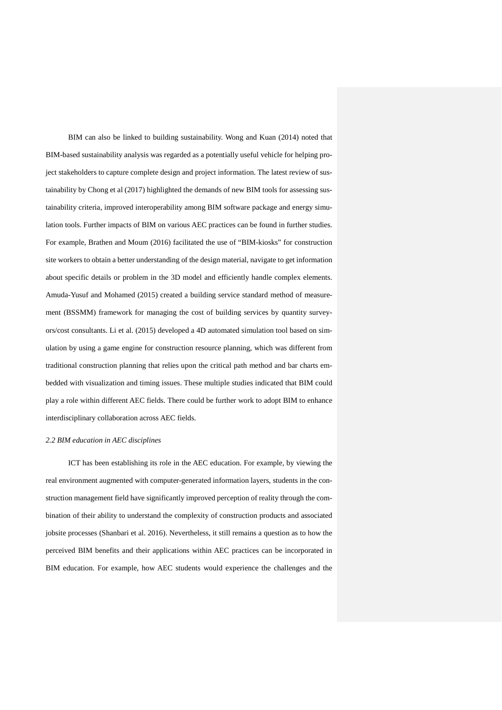BIM can also be linked to building sustainability. Wong and Kuan (2014) noted that BIM-based sustainability analysis was regarded as a potentially useful vehicle for helping project stakeholders to capture complete design and project information. The latest review of sustainability by Chong et al (2017) highlighted the demands of new BIM tools for assessing sustainability criteria, improved interoperability among BIM software package and energy simulation tools. Further impacts of BIM on various AEC practices can be found in further studies. For example, Brathen and Moum (2016) facilitated the use of "BIM-kiosks" for construction site workers to obtain a better understanding of the design material, navigate to get information about specific details or problem in the 3D model and efficiently handle complex elements. Amuda-Yusuf and Mohamed (2015) created a building service standard method of measurement (BSSMM) framework for managing the cost of building services by quantity surveyors/cost consultants. Li et al. (2015) developed a 4D automated simulation tool based on simulation by using a game engine for construction resource planning, which was different from traditional construction planning that relies upon the critical path method and bar charts embedded with visualization and timing issues. These multiple studies indicated that BIM could play a role within different AEC fields. There could be further work to adopt BIM to enhance interdisciplinary collaboration across AEC fields.

### *2.2 BIM education in AEC disciplines*

ICT has been establishing its role in the AEC education. For example, by viewing the real environment augmented with computer-generated information layers, students in the construction management field have significantly improved perception of reality through the combination of their ability to understand the complexity of construction products and associated jobsite processes (Shanbari et al. 2016). Nevertheless, it still remains a question as to how the perceived BIM benefits and their applications within AEC practices can be incorporated in BIM education. For example, how AEC students would experience the challenges and the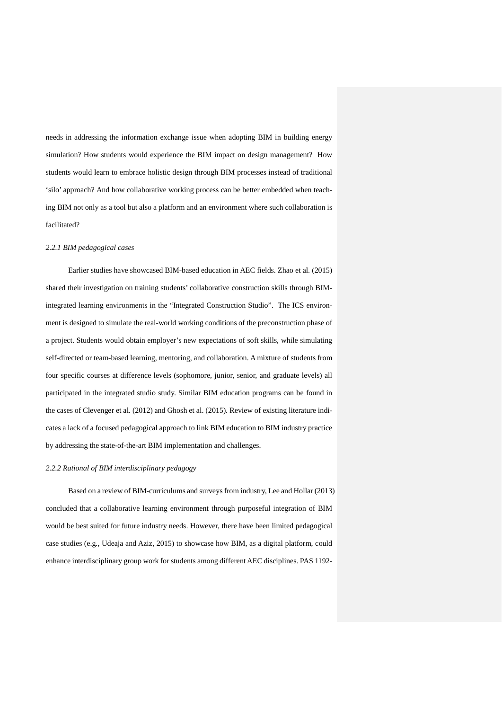needs in addressing the information exchange issue when adopting BIM in building energy simulation? How students would experience the BIM impact on design management? How students would learn to embrace holistic design through BIM processes instead of traditional 'silo' approach? And how collaborative working process can be better embedded when teaching BIM not only as a tool but also a platform and an environment where such collaboration is facilitated?

#### *2.2.1 BIM pedagogical cases*

Earlier studies have showcased BIM-based education in AEC fields. Zhao et al. (2015) shared their investigation on training students' collaborative construction skills through BIMintegrated learning environments in the "Integrated Construction Studio". The ICS environment is designed to simulate the real-world working conditions of the preconstruction phase of a project. Students would obtain employer's new expectations of soft skills, while simulating self-directed or team-based learning, mentoring, and collaboration. A mixture of students from four specific courses at difference levels (sophomore, junior, senior, and graduate levels) all participated in the integrated studio study. Similar BIM education programs can be found in the cases of Clevenger et al. (2012) and Ghosh et al. (2015). Review of existing literature indicates a lack of a focused pedagogical approach to link BIM education to BIM industry practice by addressing the state-of-the-art BIM implementation and challenges.

### *2.2.2 Rational of BIM interdisciplinary pedagogy*

Based on a review of BIM-curriculums and surveys from industry, Lee and Hollar (2013) concluded that a collaborative learning environment through purposeful integration of BIM would be best suited for future industry needs. However, there have been limited pedagogical case studies (e.g., Udeaja and Aziz, 2015) to showcase how BIM, as a digital platform, could enhance interdisciplinary group work for students among different AEC disciplines. PAS 1192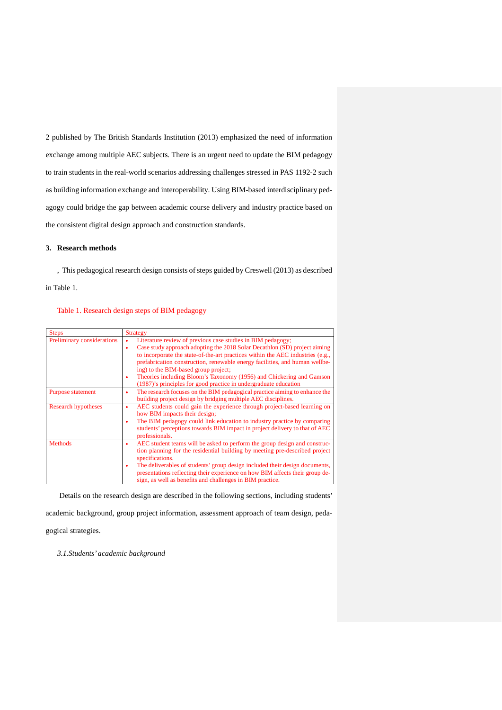2 published by The British Standards Institution (2013) emphasized the need of information exchange among multiple AEC subjects. There is an urgent need to update the BIM pedagogy to train students in the real-world scenarios addressing challenges stressed in PAS 1192-2 such as building information exchange and interoperability. Using BIM-based interdisciplinary pedagogy could bridge the gap between academic course delivery and industry practice based on the consistent digital design approach and construction standards.

### **3. Research methods**

, This pedagogical research design consists of steps guided by Creswell (2013) as described in Table 1.

# Table 1. Research design steps of BIM pedagogy

| <b>Steps</b>               | <b>Strategy</b>                                                                  |  |  |
|----------------------------|----------------------------------------------------------------------------------|--|--|
| Preliminary considerations | Literature review of previous case studies in BIM pedagogy;<br>$\bullet$         |  |  |
|                            | Case study approach adopting the 2018 Solar Decathlon (SD) project aiming<br>٠   |  |  |
|                            | to incorporate the state-of-the-art practices within the AEC industries (e.g.,   |  |  |
|                            | prefabrication construction, renewable energy facilities, and human wellbe-      |  |  |
|                            | ing) to the BIM-based group project;                                             |  |  |
|                            | Theories including Bloom's Taxonomy (1956) and Chickering and Gamson             |  |  |
|                            | (1987)'s principles for good practice in undergraduate education                 |  |  |
| Purpose statement          | The research focuses on the BIM pedagogical practice aiming to enhance the<br>٠  |  |  |
|                            | building project design by bridging multiple AEC disciplines.                    |  |  |
| <b>Research hypotheses</b> | AEC students could gain the experience through project-based learning on<br>٠    |  |  |
|                            | how BIM impacts their design;                                                    |  |  |
|                            | The BIM pedagogy could link education to industry practice by comparing          |  |  |
|                            | students' perceptions towards BIM impact in project delivery to that of AEC      |  |  |
|                            | professionals.                                                                   |  |  |
| <b>Methods</b>             | AEC student teams will be asked to perform the group design and construc-<br>٠   |  |  |
|                            | tion planning for the residential building by meeting pre-described project      |  |  |
|                            | specifications.                                                                  |  |  |
|                            | The deliverables of students' group design included their design documents,<br>٠ |  |  |
|                            | presentations reflecting their experience on how BIM affects their group de-     |  |  |
|                            | sign, as well as benefits and challenges in BIM practice.                        |  |  |

Details on the research design are described in the following sections, including students' academic background, group project information, assessment approach of team design, pedagogical strategies.

*3.1.Students' academic background*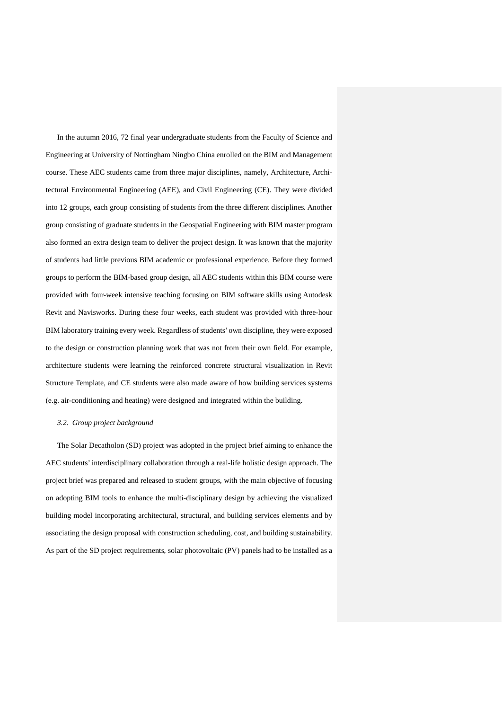In the autumn 2016, 72 final year undergraduate students from the Faculty of Science and Engineering at University of Nottingham Ningbo China enrolled on the BIM and Management course. These AEC students came from three major disciplines, namely, Architecture, Architectural Environmental Engineering (AEE), and Civil Engineering (CE). They were divided into 12 groups, each group consisting of students from the three different disciplines. Another group consisting of graduate students in the Geospatial Engineering with BIM master program also formed an extra design team to deliver the project design. It was known that the majority of students had little previous BIM academic or professional experience. Before they formed groups to perform the BIM-based group design, all AEC students within this BIM course were provided with four-week intensive teaching focusing on BIM software skills using Autodesk Revit and Navisworks. During these four weeks, each student was provided with three-hour BIM laboratory training every week. Regardless of students' own discipline, they were exposed to the design or construction planning work that was not from their own field. For example, architecture students were learning the reinforced concrete structural visualization in Revit Structure Template, and CE students were also made aware of how building services systems (e.g. air-conditioning and heating) were designed and integrated within the building.

#### *3.2. Group project background*

The Solar Decatholon (SD) project was adopted in the project brief aiming to enhance the AEC students' interdisciplinary collaboration through a real-life holistic design approach. The project brief was prepared and released to student groups, with the main objective of focusing on adopting BIM tools to enhance the multi-disciplinary design by achieving the visualized building model incorporating architectural, structural, and building services elements and by associating the design proposal with construction scheduling, cost, and building sustainability. As part of the SD project requirements, solar photovoltaic (PV) panels had to be installed as a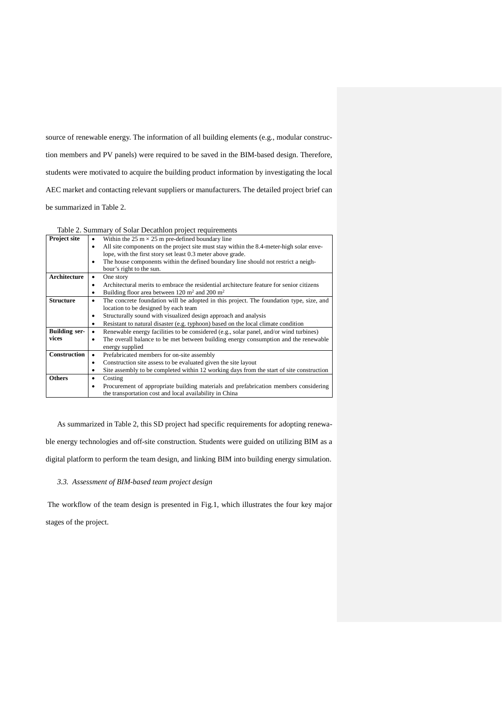source of renewable energy. The information of all building elements (e.g., modular construction members and PV panels) were required to be saved in the BIM-based design. Therefore, students were motivated to acquire the building product information by investigating the local AEC market and contacting relevant suppliers or manufacturers. The detailed project brief can be summarized in Table 2.

Table 2. Summary of Solar Decathlon project requirements

| Project site         | Within the 25 m $\times$ 25 m pre-defined boundary line                                              |
|----------------------|------------------------------------------------------------------------------------------------------|
|                      | All site components on the project site must stay within the 8.4-meter-high solar enve-<br>$\bullet$ |
|                      | lope, with the first story set least 0.3 meter above grade.                                          |
|                      | The house components within the defined boundary line should not restrict a neigh-                   |
|                      | bour's right to the sun.                                                                             |
| Architecture         | One story                                                                                            |
|                      | Architectural merits to embrace the residential architecture feature for senior citizens<br>٠        |
|                      | Building floor area between 120 $m2$ and 200 $m2$                                                    |
| <b>Structure</b>     | The concrete foundation will be adopted in this project. The foundation type, size, and              |
|                      | location to be designed by each team                                                                 |
|                      | Structurally sound with visualized design approach and analysis                                      |
|                      | Resistant to natural disaster (e.g. typhoon) based on the local climate condition<br>٠               |
| <b>Building ser-</b> | Renewable energy facilities to be considered (e.g., solar panel, and/or wind turbines)               |
| vices                | The overall balance to be met between building energy consumption and the renewable                  |
|                      | energy supplied                                                                                      |
| <b>Construction</b>  | Prefabricated members for on-site assembly                                                           |
|                      | Construction site assess to be evaluated given the site layout<br>٠                                  |
|                      | Site assembly to be completed within 12 working days from the start of site construction             |
| <b>Others</b>        | Costing                                                                                              |
|                      | Procurement of appropriate building materials and prefabrication members considering                 |
|                      | the transportation cost and local availability in China                                              |

As summarized in Table 2, this SD project had specific requirements for adopting renewable energy technologies and off-site construction. Students were guided on utilizing BIM as a digital platform to perform the team design, and linking BIM into building energy simulation.

### *3.3. Assessment of BIM-based team project design*

The workflow of the team design is presented in Fig.1, which illustrates the four key major stages of the project.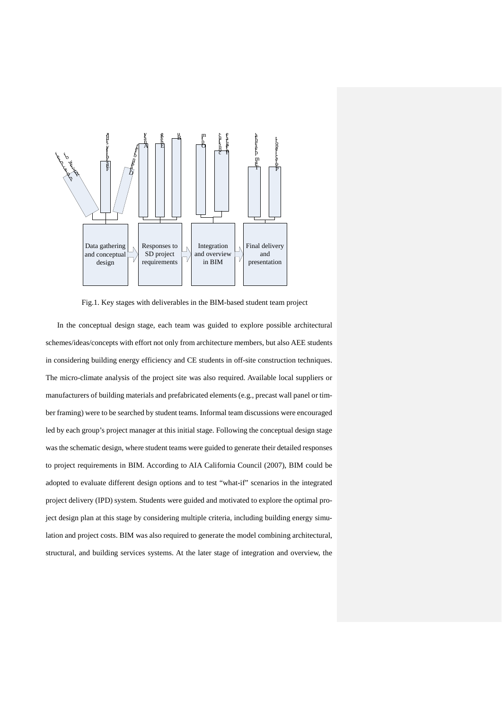

Fig.1. Key stages with deliverables in the BIM-based student team project

In the conceptual design stage, each team was guided to explore possible architectural schemes/ideas/concepts with effort not only from architecture members, but also AEE students in considering building energy efficiency and CE students in off-site construction techniques. The micro-climate analysis of the project site was also required. Available local suppliers or manufacturers of building materials and prefabricated elements (e.g., precast wall panel or timber framing) were to be searched by student teams. Informal team discussions were encouraged led by each group's project manager at this initial stage. Following the conceptual design stage was the schematic design, where student teams were guided to generate their detailed responses to project requirements in BIM. According to AIA California Council (2007), BIM could be adopted to evaluate different design options and to test "what-if" scenarios in the integrated project delivery (IPD) system. Students were guided and motivated to explore the optimal project design plan at this stage by considering multiple criteria, including building energy simulation and project costs. BIM was also required to generate the model combining architectural, structural, and building services systems. At the later stage of integration and overview, the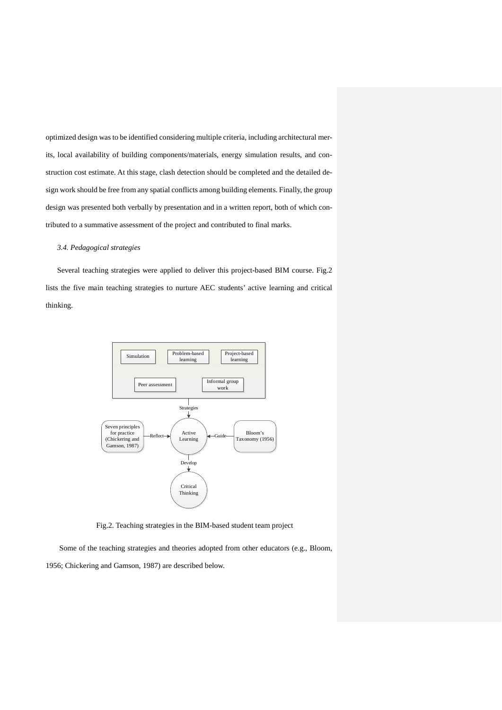optimized design was to be identified considering multiple criteria, including architectural merits, local availability of building components/materials, energy simulation results, and construction cost estimate. At this stage, clash detection should be completed and the detailed design work should be free from any spatial conflicts among building elements. Finally, the group design was presented both verbally by presentation and in a written report, both of which contributed to a summative assessment of the project and contributed to final marks.

### *3.4. Pedagogical strategies*

Several teaching strategies were applied to deliver this project-based BIM course. Fig.2 lists the five main teaching strategies to nurture AEC students' active learning and critical thinking.



Fig.2. Teaching strategies in the BIM-based student team project

Some of the teaching strategies and theories adopted from other educators (e.g., Bloom, 1956; Chickering and Gamson, 1987) are described below.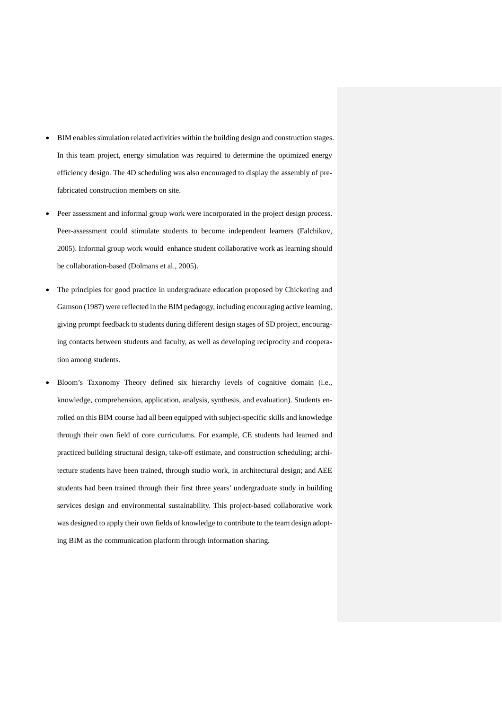- BIM enables simulation related activities within the building design and construction stages. In this team project, energy simulation was required to determine the optimized energy efficiency design. The 4D scheduling was also encouraged to display the assembly of prefabricated construction members on site.
- Peer assessment and informal group work were incorporated in the project design process. Peer-assessment could stimulate students to become independent learners (Falchikov, 2005). Informal group work would enhance student collaborative work as learning should be collaboration-based (Dolmans et al., 2005).
- The principles for good practice in undergraduate education proposed by Chickering and Gamson (1987) were reflected in the BIM pedagogy, including encouraging active learning, giving prompt feedback to students during different design stages of SD project, encouraging contacts between students and faculty, as well as developing reciprocity and cooperation among students.
- Bloom's Taxonomy Theory defined six hierarchy levels of cognitive domain (i.e., knowledge, comprehension, application, analysis, synthesis, and evaluation). Students enrolled on this BIM course had all been equipped with subject-specific skills and knowledge through their own field of core curriculums. For example, CE students had learned and practiced building structural design, take-off estimate, and construction scheduling; architecture students have been trained, through studio work, in architectural design; and AEE students had been trained through their first three years' undergraduate study in building services design and environmental sustainability. This project-based collaborative work was designed to apply their own fields of knowledge to contribute to the team design adopting BIM as the communication platform through information sharing.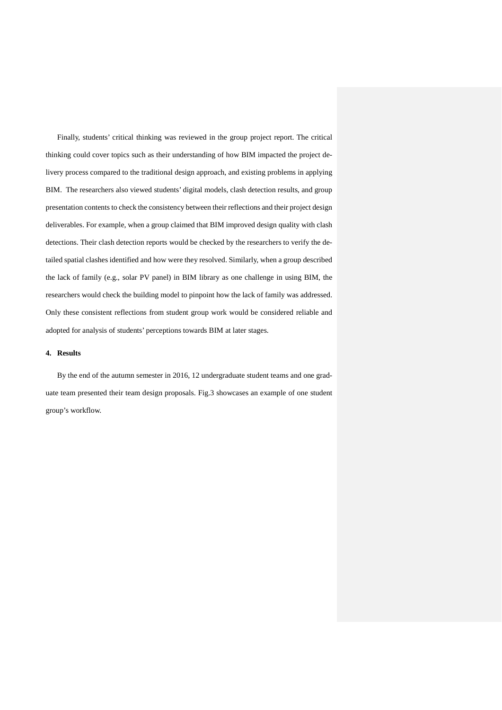Finally, students' critical thinking was reviewed in the group project report. The critical thinking could cover topics such as their understanding of how BIM impacted the project delivery process compared to the traditional design approach, and existing problems in applying BIM. The researchers also viewed students' digital models, clash detection results, and group presentation contents to check the consistency between their reflections and their project design deliverables. For example, when a group claimed that BIM improved design quality with clash detections. Their clash detection reports would be checked by the researchers to verify the detailed spatial clashes identified and how were they resolved. Similarly, when a group described the lack of family (e.g., solar PV panel) in BIM library as one challenge in using BIM, the researchers would check the building model to pinpoint how the lack of family was addressed. Only these consistent reflections from student group work would be considered reliable and adopted for analysis of students' perceptions towards BIM at later stages.

### **4. Results**

By the end of the autumn semester in 2016, 12 undergraduate student teams and one graduate team presented their team design proposals. Fig.3 showcases an example of one student group's workflow.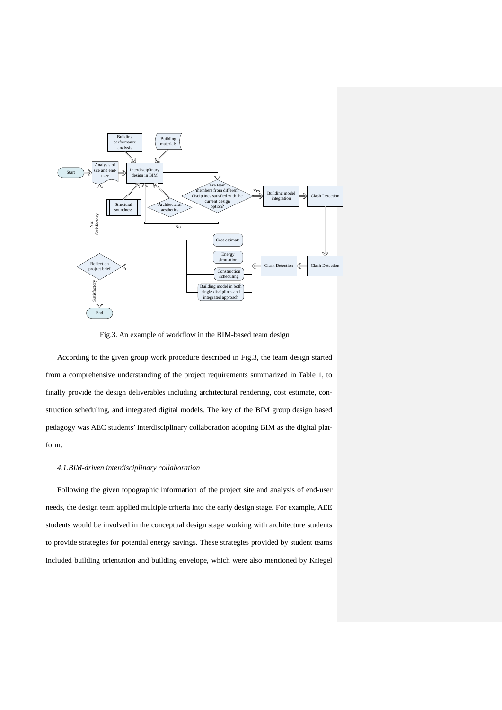

Fig.3. An example of workflow in the BIM-based team design

According to the given group work procedure described in Fig.3, the team design started from a comprehensive understanding of the project requirements summarized in Table 1, to finally provide the design deliverables including architectural rendering, cost estimate, construction scheduling, and integrated digital models. The key of the BIM group design based pedagogy was AEC students' interdisciplinary collaboration adopting BIM as the digital platform.

#### *4.1.BIM-driven interdisciplinary collaboration*

Following the given topographic information of the project site and analysis of end-user needs, the design team applied multiple criteria into the early design stage. For example, AEE students would be involved in the conceptual design stage working with architecture students to provide strategies for potential energy savings. These strategies provided by student teams included building orientation and building envelope, which were also mentioned by Kriegel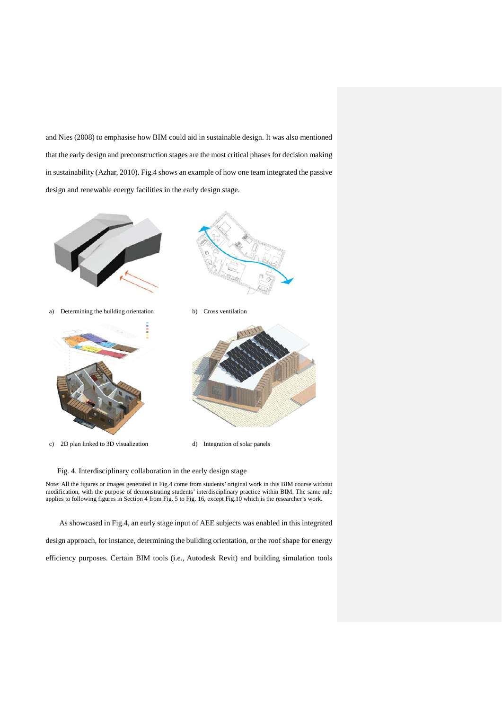and Nies (2008) to emphasise how BIM could aid in sustainable design. It was also mentioned that the early design and preconstruction stages are the most critical phases for decision making in sustainability (Azhar, 2010). Fig.4 shows an example of how one team integrated the passive design and renewable energy facilities in the early design stage.







c) 2D plan linked to 3D visualization d) Integration of solar panels



Fig. 4. Interdisciplinary collaboration in the early design stage

Note: All the figures or images generated in Fig.4 come from students' original work in this BIM course without modification, with the purpose of demonstrating students' interdisciplinary practice within BIM. The same rule applies to following figures in Section 4 from Fig. 5 to Fig. 16, except Fig.10 which is the researcher's work.

As showcased in Fig.4, an early stage input of AEE subjects was enabled in this integrated

design approach, for instance, determining the building orientation, or the roof shape for energy

efficiency purposes. Certain BIM tools (i.e., Autodesk Revit) and building simulation tools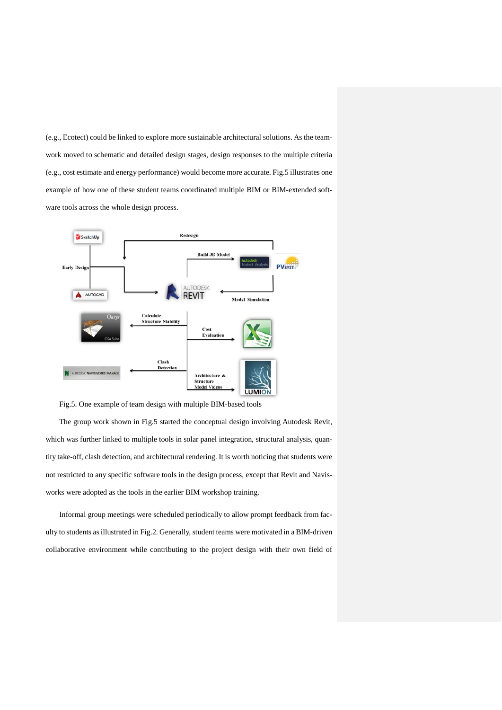(e.g., Ecotect) could be linked to explore more sustainable architectural solutions. As the teamwork moved to schematic and detailed design stages, design responses to the multiple criteria (e.g., cost estimate and energy performance) would become more accurate. Fig.5 illustrates one example of how one of these student teams coordinated multiple BIM or BIM-extended software tools across the whole design process.



Fig.5. One example of team design with multiple BIM-based tools

The group work shown in Fig.5 started the conceptual design involving Autodesk Revit, which was further linked to multiple tools in solar panel integration, structural analysis, quantity take-off, clash detection, and architectural rendering. It is worth noticing that students were not restricted to any specific software tools in the design process, except that Revit and Navisworks were adopted as the tools in the earlier BIM workshop training.

Informal group meetings were scheduled periodically to allow prompt feedback from faculty to students as illustrated in Fig.2. Generally, student teams were motivated in a BIM-driven collaborative environment while contributing to the project design with their own field of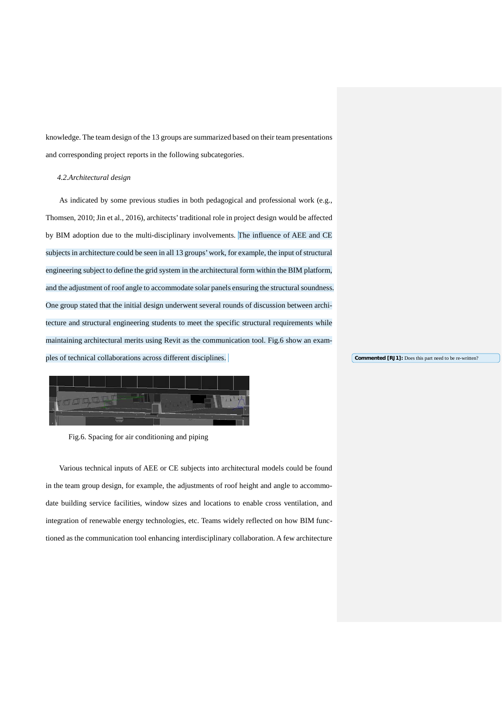knowledge. The team design of the 13 groups are summarized based on their team presentations and corresponding project reports in the following subcategories.

#### *4.2.Architectural design*

As indicated by some previous studies in both pedagogical and professional work (e.g., Thomsen, 2010; Jin et al., 2016), architects' traditional role in project design would be affected by BIM adoption due to the multi-disciplinary involvements. The influence of AEE and CE subjects in architecture could be seen in all 13 groups' work, for example, the input of structural engineering subject to define the grid system in the architectural form within the BIM platform, and the adjustment of roof angle to accommodate solar panels ensuring the structural soundness. One group stated that the initial design underwent several rounds of discussion between architecture and structural engineering students to meet the specific structural requirements while maintaining architectural merits using Revit as the communication tool. Fig.6 show an examples of technical collaborations across different disciplines.



Fig.6. Spacing for air conditioning and piping

Various technical inputs of AEE or CE subjects into architectural models could be found in the team group design, for example, the adjustments of roof height and angle to accommodate building service facilities, window sizes and locations to enable cross ventilation, and integration of renewable energy technologies, etc. Teams widely reflected on how BIM functioned as the communication tool enhancing interdisciplinary collaboration. A few architecture **Commented [RJ1]:** Does this part need to be re-written?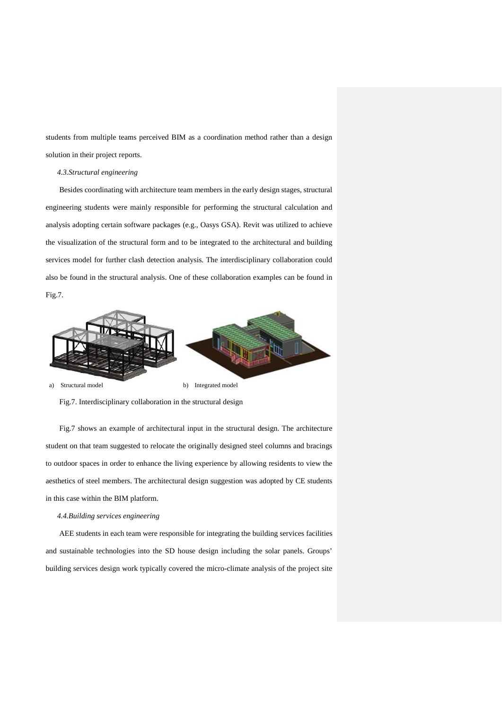students from multiple teams perceived BIM as a coordination method rather than a design solution in their project reports.

## *4.3.Structural engineering*

Besides coordinating with architecture team members in the early design stages, structural engineering students were mainly responsible for performing the structural calculation and analysis adopting certain software packages (e.g., Oasys GSA). Revit was utilized to achieve the visualization of the structural form and to be integrated to the architectural and building services model for further clash detection analysis. The interdisciplinary collaboration could also be found in the structural analysis. One of these collaboration examples can be found in Fig.7.



Fig.7. Interdisciplinary collaboration in the structural design

Fig.7 shows an example of architectural input in the structural design. The architecture student on that team suggested to relocate the originally designed steel columns and bracings to outdoor spaces in order to enhance the living experience by allowing residents to view the aesthetics of steel members. The architectural design suggestion was adopted by CE students in this case within the BIM platform.

#### *4.4.Building services engineering*

AEE students in each team were responsible for integrating the building services facilities and sustainable technologies into the SD house design including the solar panels. Groups' building services design work typically covered the micro-climate analysis of the project site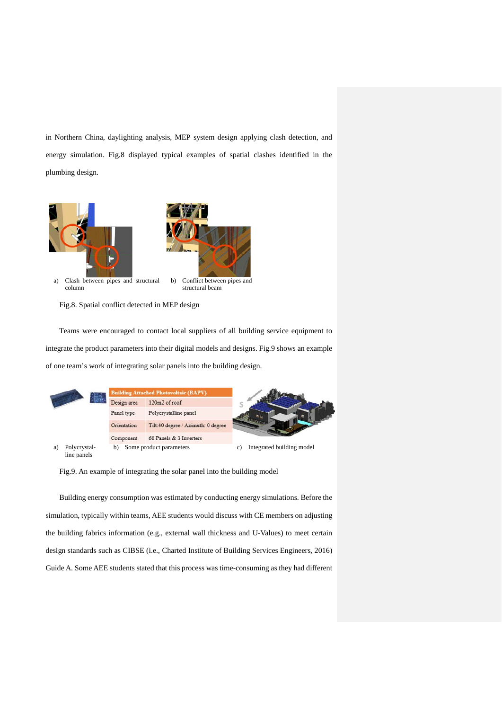in Northern China, daylighting analysis, MEP system design applying clash detection, and energy simulation. Fig.8 displayed typical examples of spatial clashes identified in the plumbing design.



Fig.8. Spatial conflict detected in MEP design

Teams were encouraged to contact local suppliers of all building service equipment to integrate the product parameters into their digital models and designs. Fig.9 shows an example of one team's work of integrating solar panels into the building design.



Fig.9. An example of integrating the solar panel into the building model

Building energy consumption was estimated by conducting energy simulations. Before the simulation, typically within teams, AEE students would discuss with CE members on adjusting the building fabrics information (e.g., external wall thickness and U-Values) to meet certain design standards such as CIBSE (i.e., Charted Institute of Building Services Engineers, 2016) Guide A. Some AEE students stated that this process was time-consuming as they had different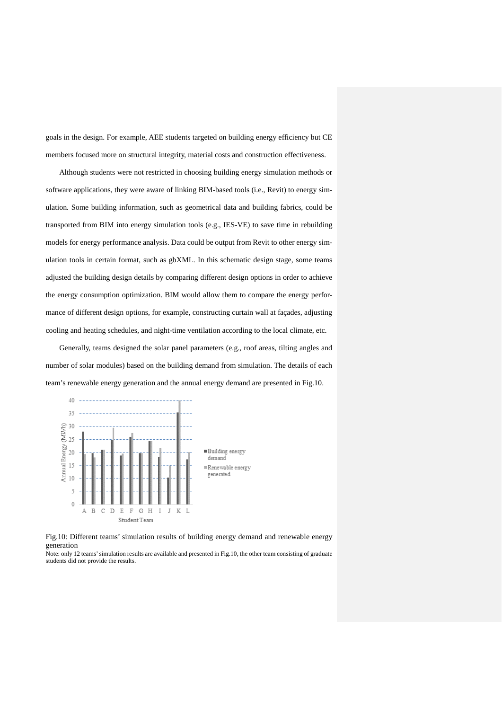goals in the design. For example, AEE students targeted on building energy efficiency but CE members focused more on structural integrity, material costs and construction effectiveness.

Although students were not restricted in choosing building energy simulation methods or software applications, they were aware of linking BIM-based tools (i.e., Revit) to energy simulation. Some building information, such as geometrical data and building fabrics, could be transported from BIM into energy simulation tools (e.g., IES-VE) to save time in rebuilding models for energy performance analysis. Data could be output from Revit to other energy simulation tools in certain format, such as gbXML. In this schematic design stage, some teams adjusted the building design details by comparing different design options in order to achieve the energy consumption optimization. BIM would allow them to compare the energy performance of different design options, for example, constructing curtain wall at façades, adjusting cooling and heating schedules, and night-time ventilation according to the local climate, etc.

Generally, teams designed the solar panel parameters (e.g., roof areas, tilting angles and number of solar modules) based on the building demand from simulation. The details of each team's renewable energy generation and the annual energy demand are presented in Fig.10.



Fig.10: Different teams' simulation results of building energy demand and renewable energy generation

Note: only 12 teams' simulation results are available and presented in Fig.10, the other team consisting of graduate students did not provide the results.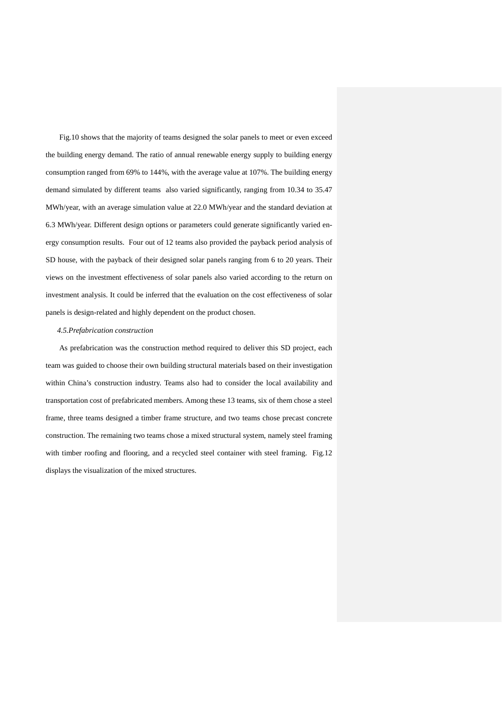Fig.10 shows that the majority of teams designed the solar panels to meet or even exceed the building energy demand. The ratio of annual renewable energy supply to building energy consumption ranged from 69% to 144%, with the average value at 107%. The building energy demand simulated by different teams also varied significantly, ranging from 10.34 to 35.47 MWh/year, with an average simulation value at 22.0 MWh/year and the standard deviation at 6.3 MWh/year. Different design options or parameters could generate significantly varied energy consumption results. Four out of 12 teams also provided the payback period analysis of SD house, with the payback of their designed solar panels ranging from 6 to 20 years. Their views on the investment effectiveness of solar panels also varied according to the return on investment analysis. It could be inferred that the evaluation on the cost effectiveness of solar panels is design-related and highly dependent on the product chosen.

#### *4.5.Prefabrication construction*

As prefabrication was the construction method required to deliver this SD project, each team was guided to choose their own building structural materials based on their investigation within China's construction industry. Teams also had to consider the local availability and transportation cost of prefabricated members. Among these 13 teams, six of them chose a steel frame, three teams designed a timber frame structure, and two teams chose precast concrete construction. The remaining two teams chose a mixed structural system, namely steel framing with timber roofing and flooring, and a recycled steel container with steel framing. Fig.12 displays the visualization of the mixed structures.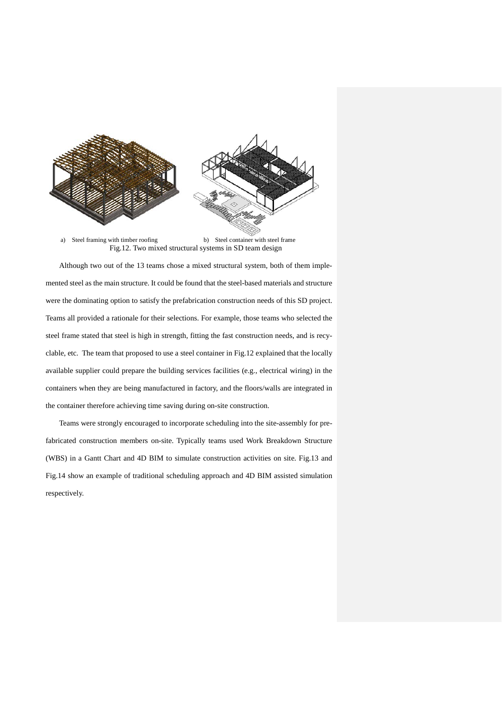

a) Steel framing with timber roofing b) Steel container with steel frame Fig.12. Two mixed structural systems in SD team design

Although two out of the 13 teams chose a mixed structural system, both of them implemented steel as the main structure. It could be found that the steel-based materials and structure were the dominating option to satisfy the prefabrication construction needs of this SD project. Teams all provided a rationale for their selections. For example, those teams who selected the steel frame stated that steel is high in strength, fitting the fast construction needs, and is recyclable, etc. The team that proposed to use a steel container in Fig.12 explained that the locally available supplier could prepare the building services facilities (e.g., electrical wiring) in the containers when they are being manufactured in factory, and the floors/walls are integrated in the container therefore achieving time saving during on-site construction.

Teams were strongly encouraged to incorporate scheduling into the site-assembly for prefabricated construction members on-site. Typically teams used Work Breakdown Structure (WBS) in a Gantt Chart and 4D BIM to simulate construction activities on site. Fig.13 and Fig.14 show an example of traditional scheduling approach and 4D BIM assisted simulation respectively.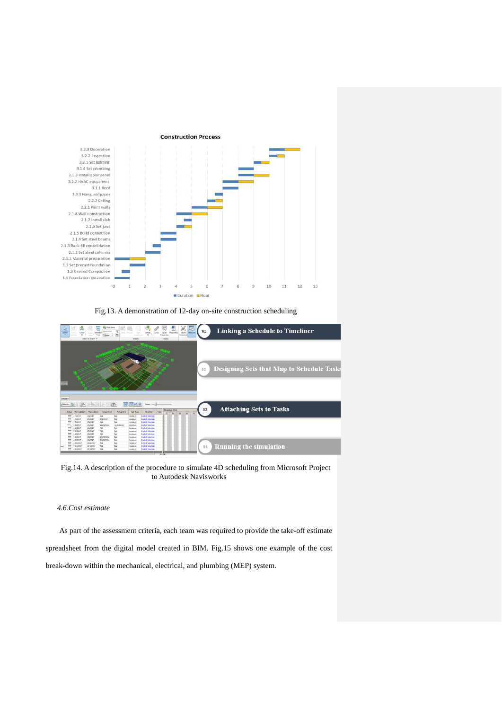

Fig.13. A demonstration of 12-day on-site construction scheduling



Fig.14. A description of the procedure to simulate 4D scheduling from Microsoft Project to Autodesk Navisworks

### *4.6.Cost estimate*

As part of the assessment criteria, each team was required to provide the take-off estimate spreadsheet from the digital model created in BIM. Fig.15 shows one example of the cost break-down within the mechanical, electrical, and plumbing (MEP) system.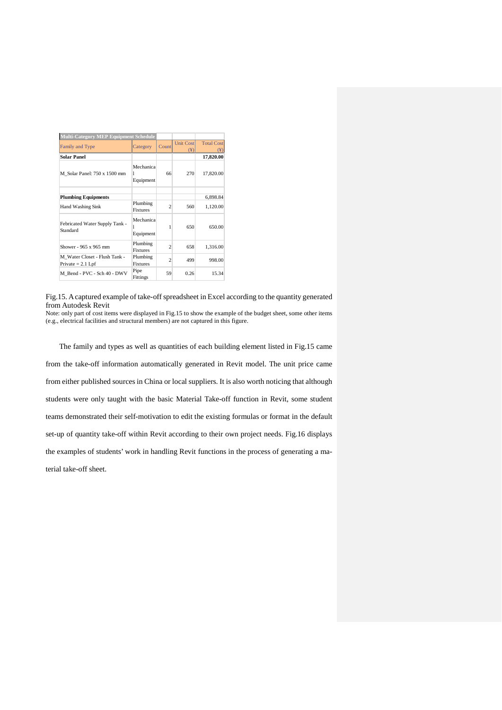| <b>Multi-Category MEP Equipment Schedule</b>         |                             |                |                         |                                                   |
|------------------------------------------------------|-----------------------------|----------------|-------------------------|---------------------------------------------------|
| Family and Type                                      | Category                    | Count          | <b>Unit Cost</b><br>(¥) | <b>Total Cost</b><br>$(\textcircled{\texttt{f}})$ |
| <b>Solar Panel</b>                                   |                             |                |                         | 17,820.00                                         |
| M Solar Panel: 750 x 1500 mm                         | Mechanica<br>Equipment      | 66             | 270                     | 17,820.00                                         |
| <b>Plumbing Equipments</b>                           |                             |                |                         | 6,898.84                                          |
| Hand Washing Sink                                    | Plumbing<br><b>Fixtures</b> | $\overline{c}$ | 560                     | 1,120.00                                          |
| Febricated Water Supply Tank -<br>Standard           | Mechanica<br>1<br>Equipment | 1              | 650                     | 650.00                                            |
| Shower - 965 x 965 mm                                | Plumbing<br>Fixtures        | $\overline{c}$ | 658                     | 1,316.00                                          |
| M Water Closet - Flush Tank -<br>Private $= 2.1$ Lpf | Plumbing<br><b>Fixtures</b> | $\overline{c}$ | 499                     | 998.00                                            |
| M Bend - PVC - Sch 40 - DWV                          | Pipe<br>Fittings            | 59             | 0.26                    | 15.34                                             |

Fig.15. A captured example of take-off spreadsheet in Excel according to the quantity generated from Autodesk Revit

Note: only part of cost items were displayed in Fig.15 to show the example of the budget sheet, some other items (e.g., electrical facilities and structural members) are not captured in this figure.

The family and types as well as quantities of each building element listed in Fig.15 came from the take-off information automatically generated in Revit model. The unit price came from either published sources in China or local suppliers. It is also worth noticing that although students were only taught with the basic Material Take-off function in Revit, some student teams demonstrated their self-motivation to edit the existing formulas or format in the default set-up of quantity take-off within Revit according to their own project needs. Fig.16 displays the examples of students' work in handling Revit functions in the process of generating a material take-off sheet.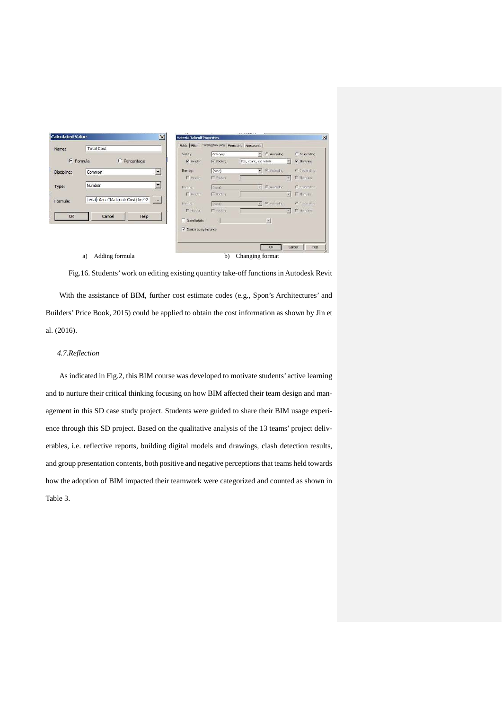| Name:          | <b>Total Cost</b>                                                   | Fields Filter            |                        | Sorting/Grouping Formatting Appearance |                                                        |                     |
|----------------|---------------------------------------------------------------------|--------------------------|------------------------|----------------------------------------|--------------------------------------------------------|---------------------|
|                |                                                                     | Sorthy:                  | Category               |                                        | - G Ascending                                          | C Descending        |
| <b>Formula</b> | C Percentage                                                        | $\nabla$ Header          | $\overline{V}$ Footer: | Title, count, and totals               |                                                        | V Blank Inc.        |
| Discipline:    | $\overline{\phantom{a}}$<br>Common                                  | Then by:                 | (none)                 |                                        | $\bullet$ $\blacksquare$ $\blacksquare$ $\blacksquare$ | C Describit         |
|                |                                                                     | IT Homes                 | F Foctors              |                                        | ×                                                      | $\Gamma$ Block inst |
| Type:          | Number                                                              | Then by                  | (none)                 |                                        | 9 年 Asching                                            | C Descending        |
|                |                                                                     | F Roder                  | F Forters              |                                        |                                                        | E Black for         |
| Formula:       | terial: Area "Material: Cost/1m^2<br>$\left\Vert \cdots\right\Vert$ | This by                  | (incne)                |                                        | v Gundri                                               | C necessing         |
|                |                                                                     | $F$ Hada                 | FT Focket              |                                        | ×                                                      | F Black inc.        |
| OK             | Help<br>Cancel                                                      | F Grand totals:          |                        |                                        | 岡                                                      |                     |
|                |                                                                     | V Itemize overy instance |                        |                                        |                                                        |                     |
|                |                                                                     |                          |                        |                                        | <b>DK</b>                                              | Cancel<br>Help      |

Fig.16. Students' work on editing existing quantity take-off functions in Autodesk Revit With the assistance of BIM, further cost estimate codes (e.g., Spon's Architectures' and Builders' Price Book, 2015) could be applied to obtain the cost information as shown by Jin et al. (2016).

### *4.7.Reflection*

As indicated in Fig.2, this BIM course was developed to motivate students' active learning and to nurture their critical thinking focusing on how BIM affected their team design and management in this SD case study project. Students were guided to share their BIM usage experience through this SD project. Based on the qualitative analysis of the 13 teams' project deliverables, i.e. reflective reports, building digital models and drawings, clash detection results, and group presentation contents, both positive and negative perceptions that teams held towards how the adoption of BIM impacted their teamwork were categorized and counted as shown in Table 3.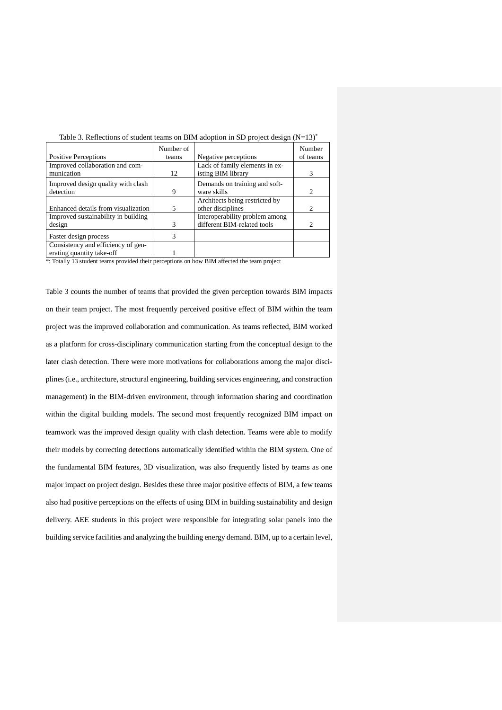| Table 5. Reflections of student teams on Differ adoption in SD project design $(1 - 15)$ |           |                                |                             |  |  |  |
|------------------------------------------------------------------------------------------|-----------|--------------------------------|-----------------------------|--|--|--|
|                                                                                          | Number of |                                | Number                      |  |  |  |
| <b>Positive Perceptions</b>                                                              | teams     | Negative perceptions           | of teams                    |  |  |  |
| Improved collaboration and com-                                                          |           | Lack of family elements in ex- |                             |  |  |  |
| munication                                                                               | 12        | isting BIM library             | 3                           |  |  |  |
| Improved design quality with clash                                                       |           | Demands on training and soft-  |                             |  |  |  |
| detection                                                                                | 9         | ware skills                    | $\mathcal{D}_{\mathcal{L}}$ |  |  |  |
|                                                                                          |           | Architects being restricted by |                             |  |  |  |
| Enhanced details from visualization                                                      | 5         | other disciplines              | 2                           |  |  |  |
| Improved sustainability in building                                                      |           | Interoperability problem among |                             |  |  |  |
| design                                                                                   | 3         | different BIM-related tools    | $\mathcal{D}_{\mathcal{L}}$ |  |  |  |
| Faster design process                                                                    | 3         |                                |                             |  |  |  |
| Consistency and efficiency of gen-                                                       |           |                                |                             |  |  |  |
| erating quantity take-off                                                                |           |                                |                             |  |  |  |

Table 3. Reflections of student teams on BIM adoption in SD project design  $(N-13)^*$ 

\*: Totally 13 student teams provided their perceptions on how BIM affected the team project

Table 3 counts the number of teams that provided the given perception towards BIM impacts on their team project. The most frequently perceived positive effect of BIM within the team project was the improved collaboration and communication. As teams reflected, BIM worked as a platform for cross-disciplinary communication starting from the conceptual design to the later clash detection. There were more motivations for collaborations among the major disciplines (i.e., architecture, structural engineering, building services engineering, and construction management) in the BIM-driven environment, through information sharing and coordination within the digital building models. The second most frequently recognized BIM impact on teamwork was the improved design quality with clash detection. Teams were able to modify their models by correcting detections automatically identified within the BIM system. One of the fundamental BIM features, 3D visualization, was also frequently listed by teams as one major impact on project design. Besides these three major positive effects of BIM, a few teams also had positive perceptions on the effects of using BIM in building sustainability and design delivery. AEE students in this project were responsible for integrating solar panels into the building service facilities and analyzing the building energy demand. BIM, up to a certain level,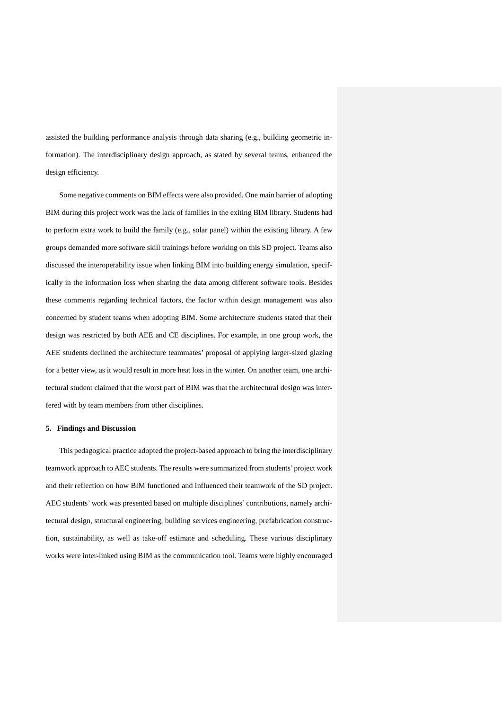assisted the building performance analysis through data sharing (e.g., building geometric information). The interdisciplinary design approach, as stated by several teams, enhanced the design efficiency.

Some negative comments on BIM effects were also provided. One main barrier of adopting BIM during this project work was the lack of families in the exiting BIM library. Students had to perform extra work to build the family (e.g., solar panel) within the existing library. A few groups demanded more software skill trainings before working on this SD project. Teams also discussed the interoperability issue when linking BIM into building energy simulation, specifically in the information loss when sharing the data among different software tools. Besides these comments regarding technical factors, the factor within design management was also concerned by student teams when adopting BIM. Some architecture students stated that their design was restricted by both AEE and CE disciplines. For example, in one group work, the AEE students declined the architecture teammates' proposal of applying larger-sized glazing for a better view, as it would result in more heat loss in the winter. On another team, one architectural student claimed that the worst part of BIM was that the architectural design was interfered with by team members from other disciplines.

#### **5. Findings and Discussion**

This pedagogical practice adopted the project-based approach to bring the interdisciplinary teamwork approach to AEC students. The results were summarized from students' project work and their reflection on how BIM functioned and influenced their teamwork of the SD project. AEC students' work was presented based on multiple disciplines' contributions, namely architectural design, structural engineering, building services engineering, prefabrication construction, sustainability, as well as take-off estimate and scheduling. These various disciplinary works were inter-linked using BIM as the communication tool. Teams were highly encouraged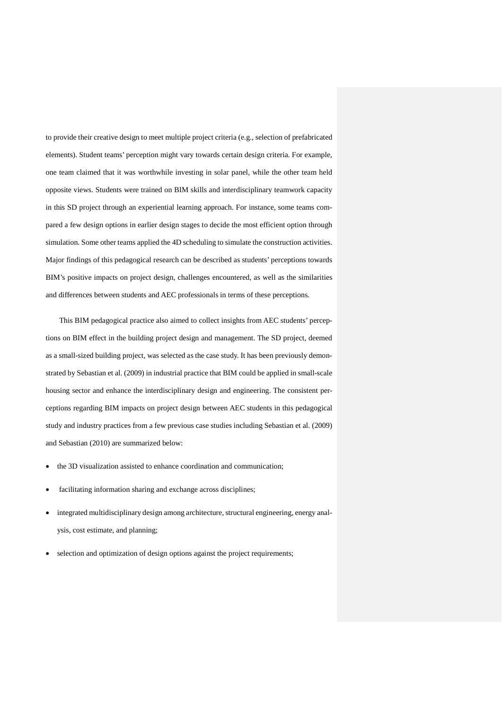to provide their creative design to meet multiple project criteria (e.g., selection of prefabricated elements). Student teams' perception might vary towards certain design criteria. For example, one team claimed that it was worthwhile investing in solar panel, while the other team held opposite views. Students were trained on BIM skills and interdisciplinary teamwork capacity in this SD project through an experiential learning approach. For instance, some teams compared a few design options in earlier design stages to decide the most efficient option through simulation. Some other teams applied the 4D scheduling to simulate the construction activities. Major findings of this pedagogical research can be described as students' perceptions towards BIM's positive impacts on project design, challenges encountered, as well as the similarities and differences between students and AEC professionals in terms of these perceptions.

This BIM pedagogical practice also aimed to collect insights from AEC students' perceptions on BIM effect in the building project design and management. The SD project, deemed as a small-sized building project, was selected as the case study. It has been previously demonstrated by Sebastian et al. (2009) in industrial practice that BIM could be applied in small-scale housing sector and enhance the interdisciplinary design and engineering. The consistent perceptions regarding BIM impacts on project design between AEC students in this pedagogical study and industry practices from a few previous case studies including Sebastian et al. (2009) and Sebastian (2010) are summarized below:

- the 3D visualization assisted to enhance coordination and communication;
- facilitating information sharing and exchange across disciplines;
- integrated multidisciplinary design among architecture, structural engineering, energy analysis, cost estimate, and planning;
- selection and optimization of design options against the project requirements;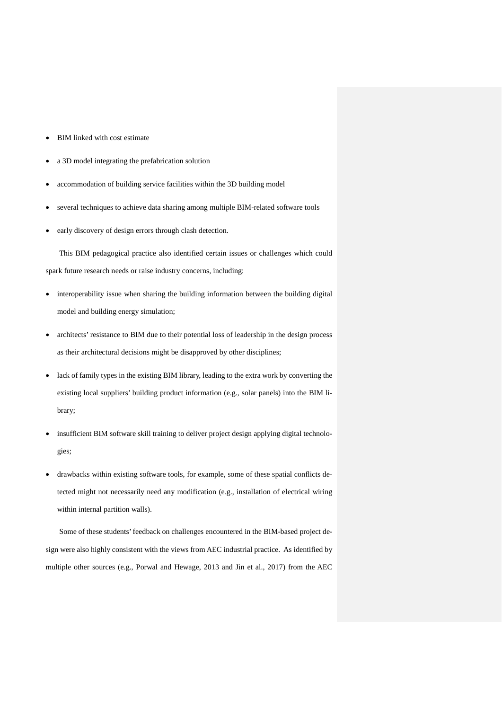- BIM linked with cost estimate
- a 3D model integrating the prefabrication solution
- accommodation of building service facilities within the 3D building model
- several techniques to achieve data sharing among multiple BIM-related software tools
- early discovery of design errors through clash detection.

This BIM pedagogical practice also identified certain issues or challenges which could spark future research needs or raise industry concerns, including:

- interoperability issue when sharing the building information between the building digital model and building energy simulation;
- architects' resistance to BIM due to their potential loss of leadership in the design process as their architectural decisions might be disapproved by other disciplines;
- lack of family types in the existing BIM library, leading to the extra work by converting the existing local suppliers' building product information (e.g., solar panels) into the BIM library;
- insufficient BIM software skill training to deliver project design applying digital technologies;
- drawbacks within existing software tools, for example, some of these spatial conflicts detected might not necessarily need any modification (e.g., installation of electrical wiring within internal partition walls).

Some of these students' feedback on challenges encountered in the BIM-based project design were also highly consistent with the views from AEC industrial practice. As identified by multiple other sources (e.g., Porwal and Hewage, 2013 and Jin et al., 2017) from the AEC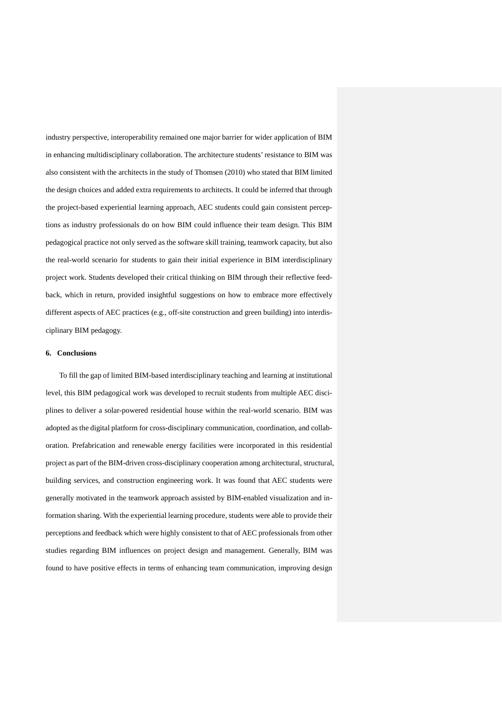industry perspective, interoperability remained one major barrier for wider application of BIM in enhancing multidisciplinary collaboration. The architecture students' resistance to BIM was also consistent with the architects in the study of Thomsen (2010) who stated that BIM limited the design choices and added extra requirements to architects. It could be inferred that through the project-based experiential learning approach, AEC students could gain consistent perceptions as industry professionals do on how BIM could influence their team design. This BIM pedagogical practice not only served as the software skill training, teamwork capacity, but also the real-world scenario for students to gain their initial experience in BIM interdisciplinary project work. Students developed their critical thinking on BIM through their reflective feedback, which in return, provided insightful suggestions on how to embrace more effectively different aspects of AEC practices (e.g., off-site construction and green building) into interdisciplinary BIM pedagogy.

### **6. Conclusions**

To fill the gap of limited BIM-based interdisciplinary teaching and learning at institutional level, this BIM pedagogical work was developed to recruit students from multiple AEC disciplines to deliver a solar-powered residential house within the real-world scenario. BIM was adopted as the digital platform for cross-disciplinary communication, coordination, and collaboration. Prefabrication and renewable energy facilities were incorporated in this residential project as part of the BIM-driven cross-disciplinary cooperation among architectural, structural, building services, and construction engineering work. It was found that AEC students were generally motivated in the teamwork approach assisted by BIM-enabled visualization and information sharing. With the experiential learning procedure, students were able to provide their perceptions and feedback which were highly consistent to that of AEC professionals from other studies regarding BIM influences on project design and management. Generally, BIM was found to have positive effects in terms of enhancing team communication, improving design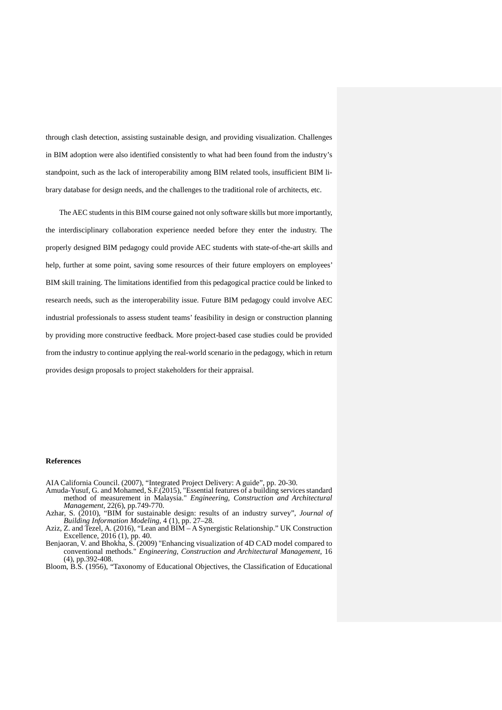through clash detection, assisting sustainable design, and providing visualization. Challenges in BIM adoption were also identified consistently to what had been found from the industry's standpoint, such as the lack of interoperability among BIM related tools, insufficient BIM library database for design needs, and the challenges to the traditional role of architects, etc.

The AEC students in this BIM course gained not only software skills but more importantly, the interdisciplinary collaboration experience needed before they enter the industry. The properly designed BIM pedagogy could provide AEC students with state-of-the-art skills and help, further at some point, saving some resources of their future employers on employees' BIM skill training. The limitations identified from this pedagogical practice could be linked to research needs, such as the interoperability issue. Future BIM pedagogy could involve AEC industrial professionals to assess student teams' feasibility in design or construction planning by providing more constructive feedback. More project-based case studies could be provided from the industry to continue applying the real-world scenario in the pedagogy, which in return provides design proposals to project stakeholders for their appraisal.

### **References**

AIA California Council. (2007), "Integrated Project Delivery: A guide", pp. 20-30.

- Amuda-Yusuf, G. and Mohamed, S.F.(2015), "Essential features of a building services standard method of measurement in Malaysia." *Engineering, Construction and Architectural Management*, 22(6), pp.749-770.
- Azhar, S. (2010), "BIM for sustainable design: results of an industry survey", *Journal of Building Information Modeling*, 4 (1), pp. 27–28.

Aziz, Z. and Tezel, A. (2016), "Lean and BIM – A Synergistic Relationship." UK Construction Excellence, 2016 (1), pp. 40.

- Benjaoran, V. and Bhokha, S. (2009) "Enhancing visualization of 4D CAD model compared to conventional methods." *Engineering, Construction and Architectural Management*, 16 (4), pp.392-408.
- Bloom, B.S. (1956), "Taxonomy of Educational Objectives, the Classification of Educational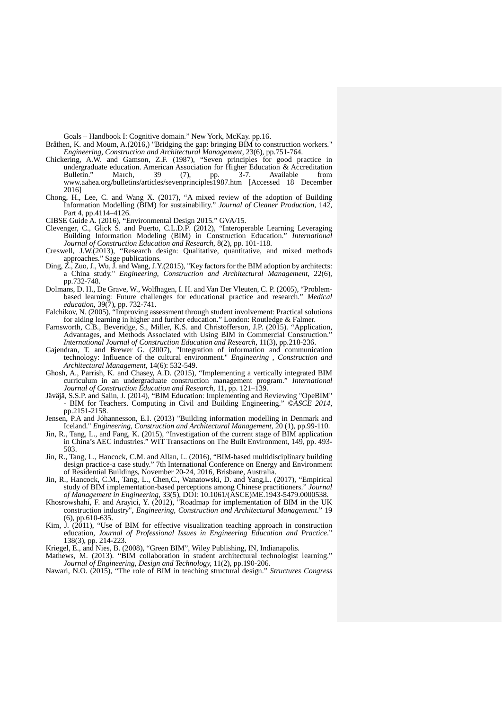Goals – Handbook I: Cognitive domain." New York, McKay. pp.16.

- Bråthen, K. and Moum, A.(2016,) "Bridging the gap: bringing BIM to construction workers." *Engineering, Construction and Architectural Management*, 23(6), pp.751-764.
- Chickering, A.W. and Gamson, Z.F. (1987), "Seven principles for good practice in undergraduate education. American Association for Higher Education & Accreditation Bulletin." March, 39 (7), pp. 3-7. Available from Bulletin." March, 39 (7), pp. 3-7. Available from www.aahea.org/bulletins/articles/sevenprinciples1987.htm [Accessed 18 December 2016]
- Chong, H., Lee, C. and Wang X. (2017), "A mixed review of the adoption of Building Information Modelling (BIM) for sustainability." *Journal of Cleaner Production*, 142, Part 4, pp.4114–4126.

CIBSE Guide A. (2016), "Environmental Design 2015." GVA/15.

- Clevenger, C., Glick S. and Puerto, C.L.D.P. (2012), "Interoperable Learning Leveraging Building Information Modeling (BIM) in Construction Education." *Journal of Construction Education and Research*, 8(2), pp. 101-118.
- Creswell, J.W.(2013), "Research design: Qualitative, quantitative, and mixed methods approaches." Sage publications.
- Ding, Z., Zuo, J., Wu, J. and Wang, J.Y.(2015), "Key factors for the BIM adoption by architects: a China study." *Engineering, Construction and Architectural Management*, 22(6), pp.732-748.
- Dolmans, D. H., De Grave, W., Wolfhagen, I. H. and Van Der Vleuten, C. P. (2005), "Problem- based learning: Future challenges for educational practice and research." *Medical education*, 39(7), pp. 732-741.
- Falchikov, N. (2005), "Improving assessment through student involvement: Practical solutions for aiding learning in higher and further education." London: Routledge & Falmer.
- Farnsworth, C.B., Beveridge, S., Miller, K.S. and Christofferson, J.P. (2015). "Application, Advantages, and Methods Associated with Using BIM in Commercial Construction." *International Journal of Construction Education and Research*, 11(3), pp.218-236.
- Gajendran, T. and Brewer G. (2007), "Integration of information and communication technology: Influence of the cultural environment." *Engineering , Construction and Architectural Management,* 14(6): 532-549.
- Ghosh, A., Parrish, K. and Chasey, A.D. (2015), "Implementing a vertically integrated BIM curriculum in an undergraduate construction management program." *International Journal of Construction Education and Research*, 11, pp. 121–139.
- Jäväjä, S.S.P. and Salin, J. (2014), "BIM Education: Implementing and Reviewing "OpeBIM" BIM for Teachers. Computing in Civil and Building Engineering." *©ASCE 2014*, pp.2151-2158.

Jensen, P.A and Jóhannesson, E.I. (2013) "Building information modelling in Denmark and Iceland." *Engineering, Construction and Architectural Management*, 20 (1), pp.99-110.

- Jin, R., Tang, L., and Fang, K. (2015), "Investigation of the current stage of BIM application in China's AEC industries." WIT Transactions on The Built Environment, 149, pp. 493- 503.
- Jin, R., Tang, L., Hancock, C.M. and Allan, L. (2016), "BIM-based multidisciplinary building design practice-a case study." 7th International Conference on Energy and Environment of Residential Buildings, November 20-24, 2016, Brisbane, Australia.
- Jin, R., Hancock, C.M., Tang, L., Chen,C., Wanatowski, D. and Yang,L. (2017), "Empirical study of BIM implementation-based perceptions among Chinese practitioners." *Journal of Management in Engineering*, 33(5), DOI: 10.1061/(ASCE)ME.1943-5479.0000538.
- Khosrowshahi, F. and Arayici, Y. (2012), "Roadmap for implementation of BIM in the UK construction industry", *Engineering, Construction and Architectural Management*." 19 (6), pp.610-635.
- Kim, J. (2011), "Use of BIM for effective visualization teaching approach in construction education, *Journal of Professional Issues in Engineering Education and Practice*." 138(3), pp. 214-223.
- Kriegel, E., and Nies, B. (2008), "Green BIM", Wiley Publishing, IN, Indianapolis.
- Mathews, M. (2013). "BIM collaboration in student architectural technologist learning." *Journal of Engineering, Design and Technology,* 11(2), pp.190-206.
- Nawari, N.O. (2015), "The role of BIM in teaching structural design." *Structures Congress*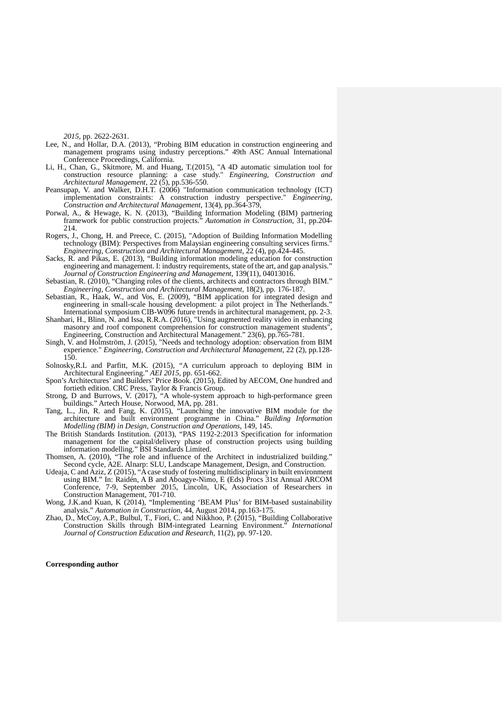*2015*, pp. 2622-2631.

- Lee, N., and Hollar, D.A. (2013), "Probing BIM education in construction engineering and management programs using industry perceptions." 49th ASC Annual International Conference Proceedings, California.
- Li, H., Chan, G., Skitmore, M. and Huang, T.(2015), "A 4D automatic simulation tool for construction resource planning: a case study." *Engineering, Construction and Architectural Management*, 22 (5), pp.536-550.
- Peansupap, V. and Walker, D.H.T. (2006) "Information communication technology (ICT) implementation constraints: A construction industry perspective." *Engineering, Construction and Architectural Management*, 13(4), pp.364-379,
- Porwal, A., & Hewage, K. N. (2013), "Building Information Modeling (BIM) partnering framework for public construction projects." *Automation in Construction*, 31, pp.204- 214.
- Rogers, J., Chong, H. and Preece, C. (2015), "Adoption of Building Information Modelling technology (BIM): Perspectives from Malaysian engineering consulting services firms." *Engineering, Construction and Architectural Management*, 22 (4), pp.424-445.
- Sacks, R. and Pikas, E. (2013), "Building information modeling education for construction engineering and management. I: industry requirements, state of the art, and gap analysis." *Journal of Construction Engineering and Management*, 139(11), 04013016.
- Sebastian, R. (2010), "Changing roles of the clients, architects and contractors through BIM." *Engineering, Construction and Architectural Management*, 18(2), pp. 176-187.
- Sebastian, R., Haak, W., and Vos, E. (2009), "BIM application for integrated design and engineering in small-scale housing development: a pilot project in The Netherlands." International symposium CIB-W096 future trends in architectural management, pp. 2-3.
- Shanbari, H., Blinn, N. and Issa, R.R.A. (2016), "Using augmented reality video in enhancing masonry and roof component comprehension for construction management students", Engineering, Construction and Architectural Management." 23(6), pp.765-781.
- Singh, V. and Holmström, J. (2015), "Needs and technology adoption: observation from BIM experience." *Engineering, Construction and Architectural Management*, 22 (2), pp.128- 150.
- Solnosky,R.L and Parfitt, M.K. (2015), "A curriculum approach to deploying BIM in Architectural Engineering." *AEI 2015*, pp. 651-662.
- Spon's Architectures' and Builders' Price Book. (2015), Edited by AECOM, One hundred and fortieth edition. CRC Press, Taylor & Francis Group.
- Strong, D and Burrows, V. (2017), "A whole-system approach to high-performance green buildings." Artech House, Norwood, MA, pp. 281.
- Tang, L., Jin, R. and Fang, K. (2015), "Launching the innovative BIM module for the architecture and built environment programme in China." *Building Information Modelling (BIM) in Design, Construction and Operations*, 149, 145.
- The British Standards Institution. (2013), "PAS 1192-2:2013 Specification for information management for the capital/delivery phase of construction projects using building information modelling." BSI Standards Limited.
- Thomsen, A. (2010), "The role and influence of the Architect in industrialized building." Second cycle, A2E. Alnarp: SLU, Landscape Management, Design, and Construction.
- Udeaja, C and Aziz, Z (2015), "A case study of fostering multidisciplinary in built environment using BIM." In: Raidén, A B and Aboagye-Nimo, E (Eds) Procs 31st Annual ARCOM Conference, 7-9, September 2015, Lincoln, UK, Association of Researchers in Construction Management, 701-710.
- Wong, J.K.and Kuan, K (2014), "Implementing 'BEAM Plus' for BIM-based sustainability analysis." *Automation in Construction*, 44, August 2014, pp.163-175.
- Zhao, D., McCoy, A.P., Bulbul, T., Fiori, C. and Nikkhoo, P. (2015), "Building Collaborative<br>Construction Skills through BIM-integrated Learning Environment." *International* Construction Skills through BIM-integrated Learning Environment.<sup>"</sup> *Journal of Construction Education and Research,* 11(2), pp. 97-120.

#### **Corresponding author**